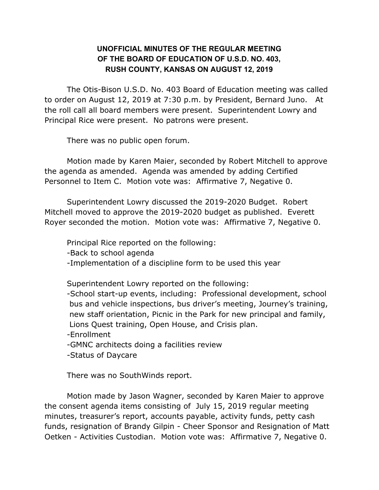## **UNOFFICIAL MINUTES OF THE REGULAR MEETING OF THE BOARD OF EDUCATION OF U.S.D. NO. 403, RUSH COUNTY, KANSAS ON AUGUST 12, 2019**

The Otis-Bison U.S.D. No. 403 Board of Education meeting was called to order on August 12, 2019 at 7:30 p.m. by President, Bernard Juno. At the roll call all board members were present. Superintendent Lowry and Principal Rice were present. No patrons were present.

There was no public open forum.

Motion made by Karen Maier, seconded by Robert Mitchell to approve the agenda as amended. Agenda was amended by adding Certified Personnel to Item C. Motion vote was: Affirmative 7, Negative 0.

Superintendent Lowry discussed the 2019-2020 Budget. Robert Mitchell moved to approve the 2019-2020 budget as published. Everett Royer seconded the motion. Motion vote was: Affirmative 7, Negative 0.

Principal Rice reported on the following:

-Back to school agenda

-Implementation of a discipline form to be used this year

Superintendent Lowry reported on the following:

-School start-up events, including: Professional development, school bus and vehicle inspections, bus driver's meeting, Journey's training, new staff orientation, Picnic in the Park for new principal and family, Lions Quest training, Open House, and Crisis plan.

-Enrollment

-GMNC architects doing a facilities review

-Status of Daycare

There was no SouthWinds report.

Motion made by Jason Wagner, seconded by Karen Maier to approve the consent agenda items consisting of July 15, 2019 regular meeting minutes, treasurer's report, accounts payable, activity funds, petty cash funds, resignation of Brandy Gilpin - Cheer Sponsor and Resignation of Matt Oetken - Activities Custodian. Motion vote was: Affirmative 7, Negative 0.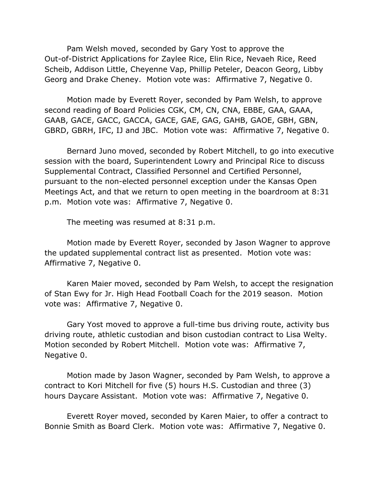Pam Welsh moved, seconded by Gary Yost to approve the Out-of-District Applications for Zaylee Rice, Elin Rice, Nevaeh Rice, Reed Scheib, Addison Little, Cheyenne Vap, Phillip Peteler, Deacon Georg, Libby Georg and Drake Cheney. Motion vote was: Affirmative 7, Negative 0.

Motion made by Everett Royer, seconded by Pam Welsh, to approve second reading of Board Policies CGK, CM, CN, CNA, EBBE, GAA, GAAA, GAAB, GACE, GACC, GACCA, GACE, GAE, GAG, GAHB, GAOE, GBH, GBN, GBRD, GBRH, IFC, IJ and JBC. Motion vote was: Affirmative 7, Negative 0.

Bernard Juno moved, seconded by Robert Mitchell, to go into executive session with the board, Superintendent Lowry and Principal Rice to discuss Supplemental Contract, Classified Personnel and Certified Personnel, pursuant to the non-elected personnel exception under the Kansas Open Meetings Act, and that we return to open meeting in the boardroom at 8:31 p.m. Motion vote was: Affirmative 7, Negative 0.

The meeting was resumed at 8:31 p.m.

Motion made by Everett Royer, seconded by Jason Wagner to approve the updated supplemental contract list as presented. Motion vote was: Affirmative 7, Negative 0.

Karen Maier moved, seconded by Pam Welsh, to accept the resignation of Stan Ewy for Jr. High Head Football Coach for the 2019 season. Motion vote was: Affirmative 7, Negative 0.

Gary Yost moved to approve a full-time bus driving route, activity bus driving route, athletic custodian and bison custodian contract to Lisa Welty. Motion seconded by Robert Mitchell. Motion vote was: Affirmative 7, Negative 0.

Motion made by Jason Wagner, seconded by Pam Welsh, to approve a contract to Kori Mitchell for five (5) hours H.S. Custodian and three (3) hours Daycare Assistant. Motion vote was: Affirmative 7, Negative 0.

Everett Royer moved, seconded by Karen Maier, to offer a contract to Bonnie Smith as Board Clerk. Motion vote was: Affirmative 7, Negative 0.